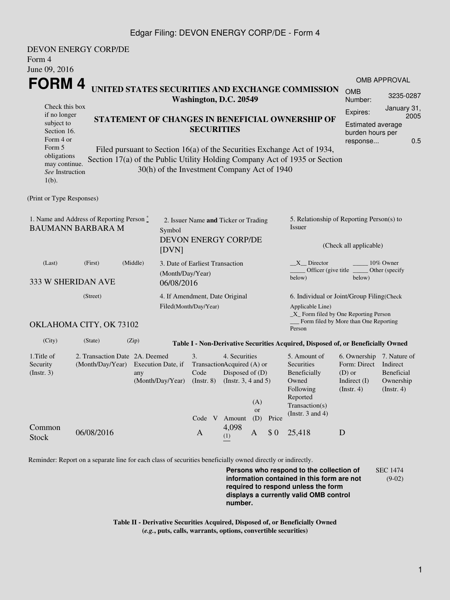## Edgar Filing: DEVON ENERGY CORP/DE - Form 4

| Form 4<br>June 09, 2016                                                                                                                                                                                                                                                       | <b>DEVON ENERGY CORP/DE</b>                                                         |                           |                                                                                                                                                                                      |                                                              |                                                                                                                         |                                                                                                              |                                 |                                                                                        |          |                     |  |  |
|-------------------------------------------------------------------------------------------------------------------------------------------------------------------------------------------------------------------------------------------------------------------------------|-------------------------------------------------------------------------------------|---------------------------|--------------------------------------------------------------------------------------------------------------------------------------------------------------------------------------|--------------------------------------------------------------|-------------------------------------------------------------------------------------------------------------------------|--------------------------------------------------------------------------------------------------------------|---------------------------------|----------------------------------------------------------------------------------------|----------|---------------------|--|--|
| FORM 4                                                                                                                                                                                                                                                                        |                                                                                     |                           |                                                                                                                                                                                      |                                                              |                                                                                                                         |                                                                                                              |                                 |                                                                                        |          | <b>OMB APPROVAL</b> |  |  |
| UNITED STATES SECURITIES AND EXCHANGE COMMISSION<br>Washington, D.C. 20549                                                                                                                                                                                                    |                                                                                     |                           |                                                                                                                                                                                      |                                                              |                                                                                                                         |                                                                                                              | <b>OMB</b><br>Number:           | 3235-0287                                                                              |          |                     |  |  |
| Check this box<br>if no longer                                                                                                                                                                                                                                                |                                                                                     |                           |                                                                                                                                                                                      |                                                              |                                                                                                                         |                                                                                                              | Expires:                        | January 31,<br>2005                                                                    |          |                     |  |  |
| subject to                                                                                                                                                                                                                                                                    | STATEMENT OF CHANGES IN BENEFICIAL OWNERSHIP OF<br><b>SECURITIES</b><br>Section 16. |                           |                                                                                                                                                                                      |                                                              |                                                                                                                         |                                                                                                              |                                 | Estimated average<br>burden hours per                                                  |          |                     |  |  |
| Form 4 or                                                                                                                                                                                                                                                                     |                                                                                     |                           |                                                                                                                                                                                      |                                                              |                                                                                                                         |                                                                                                              |                                 |                                                                                        | response | 0.5                 |  |  |
| Form 5<br>Filed pursuant to Section 16(a) of the Securities Exchange Act of 1934,<br>obligations<br>Section 17(a) of the Public Utility Holding Company Act of 1935 or Section<br>may continue.<br>30(h) of the Investment Company Act of 1940<br>See Instruction<br>$1(b)$ . |                                                                                     |                           |                                                                                                                                                                                      |                                                              |                                                                                                                         |                                                                                                              |                                 |                                                                                        |          |                     |  |  |
| (Print or Type Responses)                                                                                                                                                                                                                                                     |                                                                                     |                           |                                                                                                                                                                                      |                                                              |                                                                                                                         |                                                                                                              |                                 |                                                                                        |          |                     |  |  |
| 1. Name and Address of Reporting Person $\stackrel{*}{\mathbb{L}}$<br><b>BAUMANN BARBARA M</b><br>Symbol<br>[DVN]                                                                                                                                                             |                                                                                     |                           |                                                                                                                                                                                      | 2. Issuer Name and Ticker or Trading<br>DEVON ENERGY CORP/DE |                                                                                                                         |                                                                                                              |                                 | 5. Relationship of Reporting Person(s) to<br><b>Issuer</b><br>(Check all applicable)   |          |                     |  |  |
| (Last)<br>333 W SHERIDAN AVE                                                                                                                                                                                                                                                  | (Middle)<br>(First)<br>(Month/Day/Year)<br>06/08/2016                               |                           |                                                                                                                                                                                      | 3. Date of Earliest Transaction                              |                                                                                                                         |                                                                                                              |                                 | $X$ Director<br>10% Owner<br>Officer (give title<br>Other (specify<br>below)<br>below) |          |                     |  |  |
|                                                                                                                                                                                                                                                                               |                                                                                     |                           |                                                                                                                                                                                      |                                                              |                                                                                                                         |                                                                                                              |                                 |                                                                                        |          |                     |  |  |
| (Street)                                                                                                                                                                                                                                                                      |                                                                                     |                           |                                                                                                                                                                                      | 4. If Amendment, Date Original                               |                                                                                                                         |                                                                                                              |                                 | 6. Individual or Joint/Group Filing(Check<br>Applicable Line)                          |          |                     |  |  |
| Filed(Month/Day/Year)<br>_X_ Form filed by One Reporting Person<br>OKLAHOMA CITY, OK 73102<br>Person                                                                                                                                                                          |                                                                                     |                           |                                                                                                                                                                                      |                                                              |                                                                                                                         |                                                                                                              |                                 | Form filed by More than One Reporting                                                  |          |                     |  |  |
| (City)                                                                                                                                                                                                                                                                        | (State)                                                                             | (Zip)                     |                                                                                                                                                                                      |                                                              |                                                                                                                         |                                                                                                              |                                 | Table I - Non-Derivative Securities Acquired, Disposed of, or Beneficially Owned       |          |                     |  |  |
| 1.Title of<br>Security<br>$($ Instr. 3 $)$                                                                                                                                                                                                                                    | 2. Transaction Date 2A. Deemed<br>(Month/Day/Year)                                  | Execution Date, if<br>any | 4. Securities<br>3.<br>TransactionAcquired (A) or<br>Disposed of (D)<br>Code<br>(Month/Day/Year) (Instr. 8) (Instr. 3, 4 and 5)<br>(A)<br><b>or</b><br>(D)<br>Code V Amount<br>Price |                                                              | 5. Amount of<br>Securities<br>Beneficially<br>Owned<br>Following<br>Reported<br>Transaction(s)<br>(Instr. $3$ and $4$ ) | 6. Ownership 7. Nature of<br>Form: Direct Indirect<br>$(D)$ or<br>Indirect (I) Ownership<br>$($ Instr. 4 $)$ | <b>Beneficial</b><br>(Instr. 4) |                                                                                        |          |                     |  |  |
| Common<br><b>Stock</b>                                                                                                                                                                                                                                                        | 06/08/2016                                                                          |                           | $\mathbf{A}$                                                                                                                                                                         | (1)                                                          | 4,098                                                                                                                   | A                                                                                                            | \$0                             | 25,418                                                                                 | D        |                     |  |  |

Reminder: Report on a separate line for each class of securities beneficially owned directly or indirectly.

**Persons who respond to the collection of information contained in this form are not required to respond unless the form displays a currently valid OMB control number.** SEC 1474 (9-02)

**Table II - Derivative Securities Acquired, Disposed of, or Beneficially Owned (***e.g.***, puts, calls, warrants, options, convertible securities)**